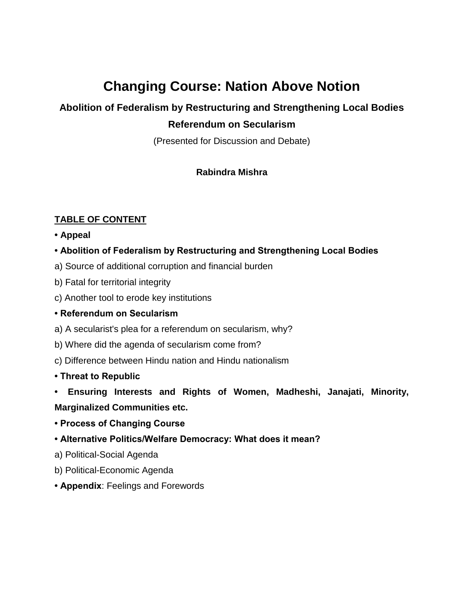# **Changing Course: Nation Above Notion**

## **Abolition of Federalism by Restructuring and Strengthening Local Bodies Referendum on Secularism**

(Presented for Discussion and Debate)

#### **Rabindra Mishra**

#### **TABLE OF CONTENT**

- **Appeal**
- **Abolition of Federalism by Restructuring and Strengthening Local Bodies**
- a) Source of additional corruption and financial burden
- b) Fatal for territorial integrity
- c) Another tool to erode key institutions

#### **• Referendum on Secularism**

- a) A secularist's plea for a referendum on secularism, why?
- b) Where did the agenda of secularism come from?
- c) Difference between Hindu nation and Hindu nationalism
- **Threat to Republic**
- **• Ensuring Interests and Rights of Women, Madheshi, Janajati, Minority, Marginalized Communities etc.**
- **Process of Changing Course**
- **Alternative Politics/Welfare Democracy: What does it mean?**
- a) Political-Social Agenda
- b) Political-Economic Agenda
- **Appendix**: Feelings and Forewords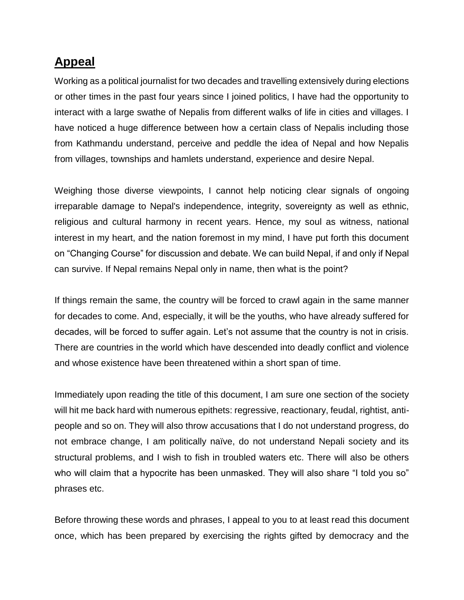## **Appeal**

Working as a political journalist for two decades and travelling extensively during elections or other times in the past four years since I joined politics, I have had the opportunity to interact with a large swathe of Nepalis from different walks of life in cities and villages. I have noticed a huge difference between how a certain class of Nepalis including those from Kathmandu understand, perceive and peddle the idea of Nepal and how Nepalis from villages, townships and hamlets understand, experience and desire Nepal.

Weighing those diverse viewpoints, I cannot help noticing clear signals of ongoing irreparable damage to Nepal's independence, integrity, sovereignty as well as ethnic, religious and cultural harmony in recent years. Hence, my soul as witness, national interest in my heart, and the nation foremost in my mind, I have put forth this document on "Changing Course" for discussion and debate. We can build Nepal, if and only if Nepal can survive. If Nepal remains Nepal only in name, then what is the point?

If things remain the same, the country will be forced to crawl again in the same manner for decades to come. And, especially, it will be the youths, who have already suffered for decades, will be forced to suffer again. Let's not assume that the country is not in crisis. There are countries in the world which have descended into deadly conflict and violence and whose existence have been threatened within a short span of time.

Immediately upon reading the title of this document, I am sure one section of the society will hit me back hard with numerous epithets: regressive, reactionary, feudal, rightist, antipeople and so on. They will also throw accusations that I do not understand progress, do not embrace change, I am politically naïve, do not understand Nepali society and its structural problems, and I wish to fish in troubled waters etc. There will also be others who will claim that a hypocrite has been unmasked. They will also share "I told you so" phrases etc.

Before throwing these words and phrases, I appeal to you to at least read this document once, which has been prepared by exercising the rights gifted by democracy and the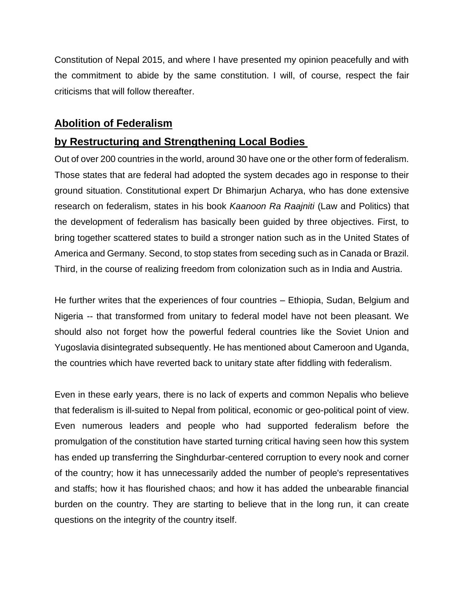Constitution of Nepal 2015, and where I have presented my opinion peacefully and with the commitment to abide by the same constitution. I will, of course, respect the fair criticisms that will follow thereafter.

#### **Abolition of Federalism**

#### **by Restructuring and Strengthening Local Bodies**

Out of over 200 countries in the world, around 30 have one or the other form of federalism. Those states that are federal had adopted the system decades ago in response to their ground situation. Constitutional expert Dr Bhimarjun Acharya, who has done extensive research on federalism, states in his book *Kaanoon Ra Raajniti* (Law and Politics) that the development of federalism has basically been guided by three objectives. First, to bring together scattered states to build a stronger nation such as in the United States of America and Germany. Second, to stop states from seceding such as in Canada or Brazil. Third, in the course of realizing freedom from colonization such as in India and Austria.

He further writes that the experiences of four countries – Ethiopia, Sudan, Belgium and Nigeria -- that transformed from unitary to federal model have not been pleasant. We should also not forget how the powerful federal countries like the Soviet Union and Yugoslavia disintegrated subsequently. He has mentioned about Cameroon and Uganda, the countries which have reverted back to unitary state after fiddling with federalism.

Even in these early years, there is no lack of experts and common Nepalis who believe that federalism is ill-suited to Nepal from political, economic or geo-political point of view. Even numerous leaders and people who had supported federalism before the promulgation of the constitution have started turning critical having seen how this system has ended up transferring the Singhdurbar-centered corruption to every nook and corner of the country; how it has unnecessarily added the number of people's representatives and staffs; how it has flourished chaos; and how it has added the unbearable financial burden on the country. They are starting to believe that in the long run, it can create questions on the integrity of the country itself.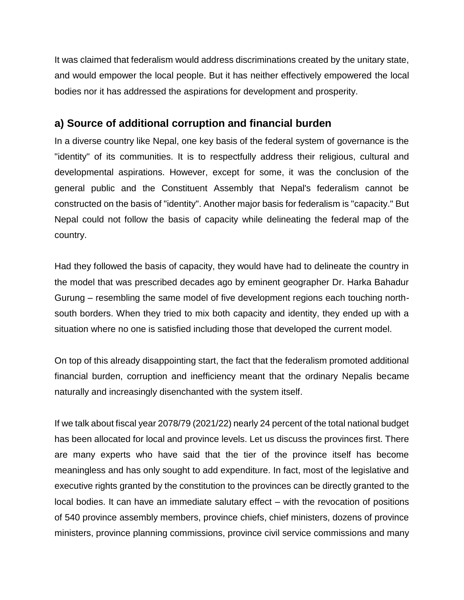It was claimed that federalism would address discriminations created by the unitary state, and would empower the local people. But it has neither effectively empowered the local bodies nor it has addressed the aspirations for development and prosperity.

#### **a) Source of additional corruption and financial burden**

In a diverse country like Nepal, one key basis of the federal system of governance is the "identity" of its communities. It is to respectfully address their religious, cultural and developmental aspirations. However, except for some, it was the conclusion of the general public and the Constituent Assembly that Nepal's federalism cannot be constructed on the basis of "identity". Another major basis for federalism is "capacity." But Nepal could not follow the basis of capacity while delineating the federal map of the country.

Had they followed the basis of capacity, they would have had to delineate the country in the model that was prescribed decades ago by eminent geographer Dr. Harka Bahadur Gurung – resembling the same model of five development regions each touching northsouth borders. When they tried to mix both capacity and identity, they ended up with a situation where no one is satisfied including those that developed the current model.

On top of this already disappointing start, the fact that the federalism promoted additional financial burden, corruption and inefficiency meant that the ordinary Nepalis became naturally and increasingly disenchanted with the system itself.

If we talk about fiscal year 2078/79 (2021/22) nearly 24 percent of the total national budget has been allocated for local and province levels. Let us discuss the provinces first. There are many experts who have said that the tier of the province itself has become meaningless and has only sought to add expenditure. In fact, most of the legislative and executive rights granted by the constitution to the provinces can be directly granted to the local bodies. It can have an immediate salutary effect – with the revocation of positions of 540 province assembly members, province chiefs, chief ministers, dozens of province ministers, province planning commissions, province civil service commissions and many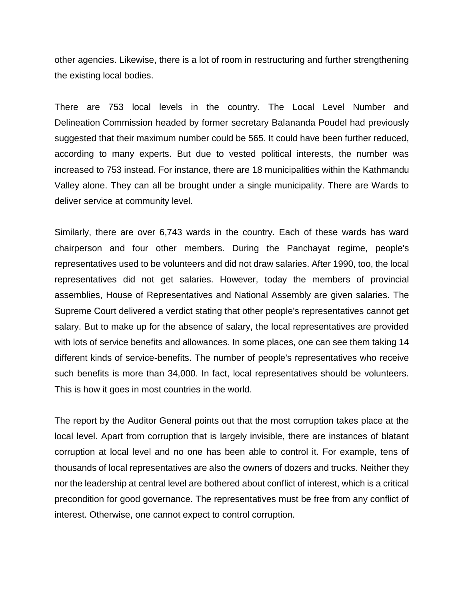other agencies. Likewise, there is a lot of room in restructuring and further strengthening the existing local bodies.

There are 753 local levels in the country. The Local Level Number and Delineation Commission headed by former secretary Balananda Poudel had previously suggested that their maximum number could be 565. It could have been further reduced, according to many experts. But due to vested political interests, the number was increased to 753 instead. For instance, there are 18 municipalities within the Kathmandu Valley alone. They can all be brought under a single municipality. There are Wards to deliver service at community level.

Similarly, there are over 6,743 wards in the country. Each of these wards has ward chairperson and four other members. During the Panchayat regime, people's representatives used to be volunteers and did not draw salaries. After 1990, too, the local representatives did not get salaries. However, today the members of provincial assemblies, House of Representatives and National Assembly are given salaries. The Supreme Court delivered a verdict stating that other people's representatives cannot get salary. But to make up for the absence of salary, the local representatives are provided with lots of service benefits and allowances. In some places, one can see them taking 14 different kinds of service-benefits. The number of people's representatives who receive such benefits is more than 34,000. In fact, local representatives should be volunteers. This is how it goes in most countries in the world.

The report by the Auditor General points out that the most corruption takes place at the local level. Apart from corruption that is largely invisible, there are instances of blatant corruption at local level and no one has been able to control it. For example, tens of thousands of local representatives are also the owners of dozers and trucks. Neither they nor the leadership at central level are bothered about conflict of interest, which is a critical precondition for good governance. The representatives must be free from any conflict of interest. Otherwise, one cannot expect to control corruption.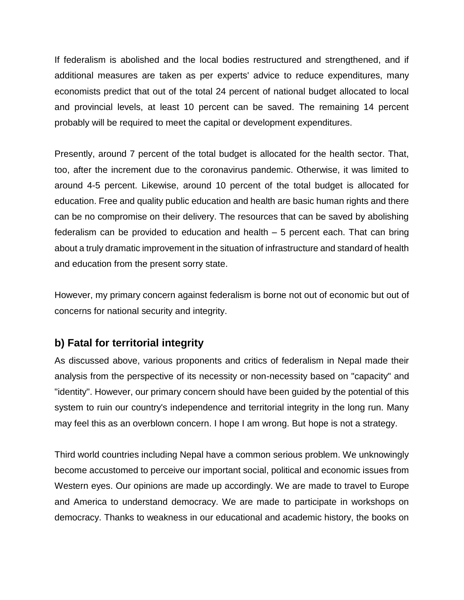If federalism is abolished and the local bodies restructured and strengthened, and if additional measures are taken as per experts' advice to reduce expenditures, many economists predict that out of the total 24 percent of national budget allocated to local and provincial levels, at least 10 percent can be saved. The remaining 14 percent probably will be required to meet the capital or development expenditures.

Presently, around 7 percent of the total budget is allocated for the health sector. That, too, after the increment due to the coronavirus pandemic. Otherwise, it was limited to around 4-5 percent. Likewise, around 10 percent of the total budget is allocated for education. Free and quality public education and health are basic human rights and there can be no compromise on their delivery. The resources that can be saved by abolishing federalism can be provided to education and health – 5 percent each. That can bring about a truly dramatic improvement in the situation of infrastructure and standard of health and education from the present sorry state.

However, my primary concern against federalism is borne not out of economic but out of concerns for national security and integrity.

## **b) Fatal for territorial integrity**

As discussed above, various proponents and critics of federalism in Nepal made their analysis from the perspective of its necessity or non-necessity based on "capacity" and "identity". However, our primary concern should have been guided by the potential of this system to ruin our country's independence and territorial integrity in the long run. Many may feel this as an overblown concern. I hope I am wrong. But hope is not a strategy.

Third world countries including Nepal have a common serious problem. We unknowingly become accustomed to perceive our important social, political and economic issues from Western eyes. Our opinions are made up accordingly. We are made to travel to Europe and America to understand democracy. We are made to participate in workshops on democracy. Thanks to weakness in our educational and academic history, the books on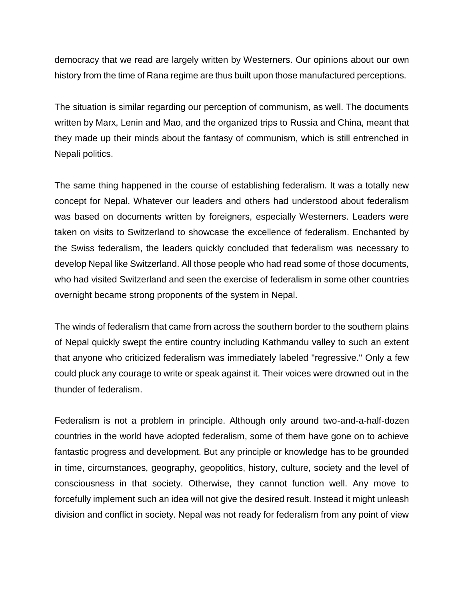democracy that we read are largely written by Westerners. Our opinions about our own history from the time of Rana regime are thus built upon those manufactured perceptions.

The situation is similar regarding our perception of communism, as well. The documents written by Marx, Lenin and Mao, and the organized trips to Russia and China, meant that they made up their minds about the fantasy of communism, which is still entrenched in Nepali politics.

The same thing happened in the course of establishing federalism. It was a totally new concept for Nepal. Whatever our leaders and others had understood about federalism was based on documents written by foreigners, especially Westerners. Leaders were taken on visits to Switzerland to showcase the excellence of federalism. Enchanted by the Swiss federalism, the leaders quickly concluded that federalism was necessary to develop Nepal like Switzerland. All those people who had read some of those documents, who had visited Switzerland and seen the exercise of federalism in some other countries overnight became strong proponents of the system in Nepal.

The winds of federalism that came from across the southern border to the southern plains of Nepal quickly swept the entire country including Kathmandu valley to such an extent that anyone who criticized federalism was immediately labeled "regressive." Only a few could pluck any courage to write or speak against it. Their voices were drowned out in the thunder of federalism.

Federalism is not a problem in principle. Although only around two-and-a-half-dozen countries in the world have adopted federalism, some of them have gone on to achieve fantastic progress and development. But any principle or knowledge has to be grounded in time, circumstances, geography, geopolitics, history, culture, society and the level of consciousness in that society. Otherwise, they cannot function well. Any move to forcefully implement such an idea will not give the desired result. Instead it might unleash division and conflict in society. Nepal was not ready for federalism from any point of view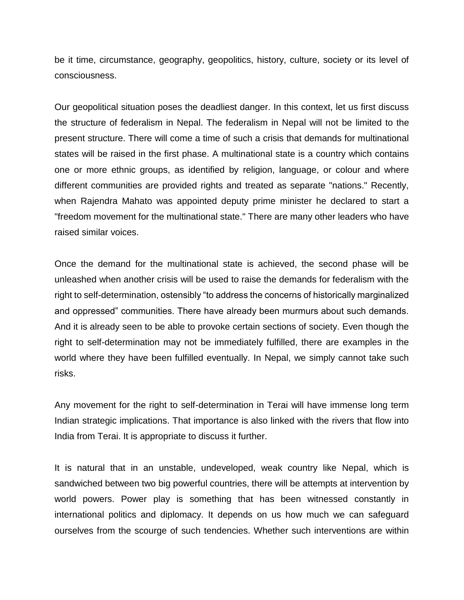be it time, circumstance, geography, geopolitics, history, culture, society or its level of consciousness.

Our geopolitical situation poses the deadliest danger. In this context, let us first discuss the structure of federalism in Nepal. The federalism in Nepal will not be limited to the present structure. There will come a time of such a crisis that demands for multinational states will be raised in the first phase. A multinational state is a country which contains one or more ethnic groups, as identified by religion, language, or colour and where different communities are provided rights and treated as separate "nations." Recently, when Rajendra Mahato was appointed deputy prime minister he declared to start a "freedom movement for the multinational state." There are many other leaders who have raised similar voices.

Once the demand for the multinational state is achieved, the second phase will be unleashed when another crisis will be used to raise the demands for federalism with the right to self-determination, ostensibly "to address the concerns of historically marginalized and oppressed" communities. There have already been murmurs about such demands. And it is already seen to be able to provoke certain sections of society. Even though the right to self-determination may not be immediately fulfilled, there are examples in the world where they have been fulfilled eventually. In Nepal, we simply cannot take such risks.

Any movement for the right to self-determination in Terai will have immense long term Indian strategic implications. That importance is also linked with the rivers that flow into India from Terai. It is appropriate to discuss it further.

It is natural that in an unstable, undeveloped, weak country like Nepal, which is sandwiched between two big powerful countries, there will be attempts at intervention by world powers. Power play is something that has been witnessed constantly in international politics and diplomacy. It depends on us how much we can safeguard ourselves from the scourge of such tendencies. Whether such interventions are within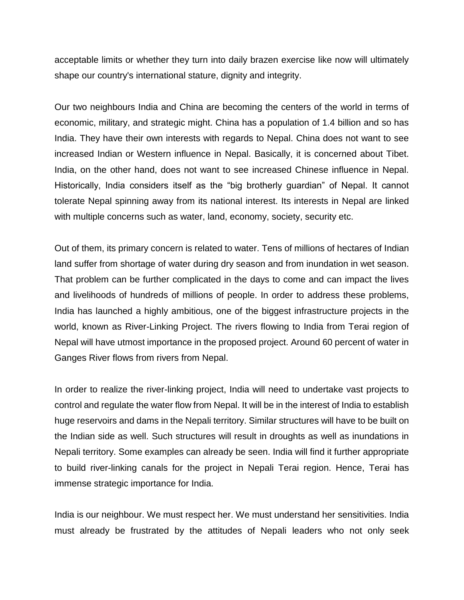acceptable limits or whether they turn into daily brazen exercise like now will ultimately shape our country's international stature, dignity and integrity.

Our two neighbours India and China are becoming the centers of the world in terms of economic, military, and strategic might. China has a population of 1.4 billion and so has India. They have their own interests with regards to Nepal. China does not want to see increased Indian or Western influence in Nepal. Basically, it is concerned about Tibet. India, on the other hand, does not want to see increased Chinese influence in Nepal. Historically, India considers itself as the "big brotherly guardian" of Nepal. It cannot tolerate Nepal spinning away from its national interest. Its interests in Nepal are linked with multiple concerns such as water, land, economy, society, security etc.

Out of them, its primary concern is related to water. Tens of millions of hectares of Indian land suffer from shortage of water during dry season and from inundation in wet season. That problem can be further complicated in the days to come and can impact the lives and livelihoods of hundreds of millions of people. In order to address these problems, India has launched a highly ambitious, one of the biggest infrastructure projects in the world, known as River-Linking Project. The rivers flowing to India from Terai region of Nepal will have utmost importance in the proposed project. Around 60 percent of water in Ganges River flows from rivers from Nepal.

In order to realize the river-linking project, India will need to undertake vast projects to control and regulate the water flow from Nepal. It will be in the interest of India to establish huge reservoirs and dams in the Nepali territory. Similar structures will have to be built on the Indian side as well. Such structures will result in droughts as well as inundations in Nepali territory. Some examples can already be seen. India will find it further appropriate to build river-linking canals for the project in Nepali Terai region. Hence, Terai has immense strategic importance for India.

India is our neighbour. We must respect her. We must understand her sensitivities. India must already be frustrated by the attitudes of Nepali leaders who not only seek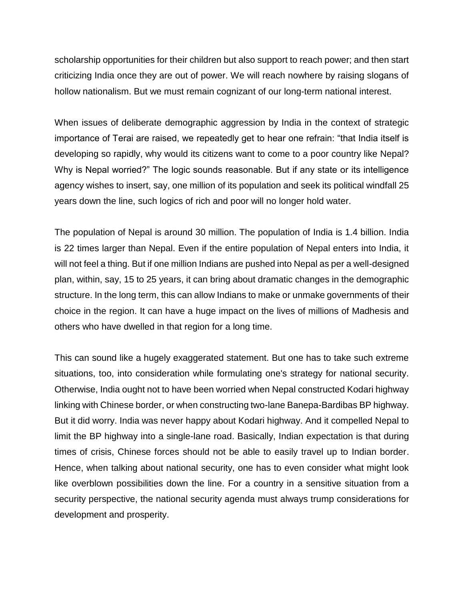scholarship opportunities for their children but also support to reach power; and then start criticizing India once they are out of power. We will reach nowhere by raising slogans of hollow nationalism. But we must remain cognizant of our long-term national interest.

When issues of deliberate demographic aggression by India in the context of strategic importance of Terai are raised, we repeatedly get to hear one refrain: "that India itself is developing so rapidly, why would its citizens want to come to a poor country like Nepal? Why is Nepal worried?" The logic sounds reasonable. But if any state or its intelligence agency wishes to insert, say, one million of its population and seek its political windfall 25 years down the line, such logics of rich and poor will no longer hold water.

The population of Nepal is around 30 million. The population of India is 1.4 billion. India is 22 times larger than Nepal. Even if the entire population of Nepal enters into India, it will not feel a thing. But if one million Indians are pushed into Nepal as per a well-designed plan, within, say, 15 to 25 years, it can bring about dramatic changes in the demographic structure. In the long term, this can allow Indians to make or unmake governments of their choice in the region. It can have a huge impact on the lives of millions of Madhesis and others who have dwelled in that region for a long time.

This can sound like a hugely exaggerated statement. But one has to take such extreme situations, too, into consideration while formulating one's strategy for national security. Otherwise, India ought not to have been worried when Nepal constructed Kodari highway linking with Chinese border, or when constructing two-lane Banepa-Bardibas BP highway. But it did worry. India was never happy about Kodari highway. And it compelled Nepal to limit the BP highway into a single-lane road. Basically, Indian expectation is that during times of crisis, Chinese forces should not be able to easily travel up to Indian border. Hence, when talking about national security, one has to even consider what might look like overblown possibilities down the line. For a country in a sensitive situation from a security perspective, the national security agenda must always trump considerations for development and prosperity.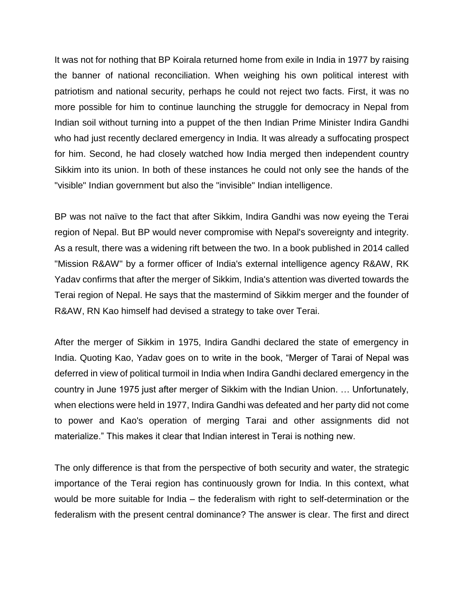It was not for nothing that BP Koirala returned home from exile in India in 1977 by raising the banner of national reconciliation. When weighing his own political interest with patriotism and national security, perhaps he could not reject two facts. First, it was no more possible for him to continue launching the struggle for democracy in Nepal from Indian soil without turning into a puppet of the then Indian Prime Minister Indira Gandhi who had just recently declared emergency in India. It was already a suffocating prospect for him. Second, he had closely watched how India merged then independent country Sikkim into its union. In both of these instances he could not only see the hands of the "visible" Indian government but also the "invisible" Indian intelligence.

BP was not naïve to the fact that after Sikkim, Indira Gandhi was now eyeing the Terai region of Nepal. But BP would never compromise with Nepal's sovereignty and integrity. As a result, there was a widening rift between the two. In a book published in 2014 called "Mission R&AW" by a former officer of India's external intelligence agency R&AW, RK Yadav confirms that after the merger of Sikkim, India's attention was diverted towards the Terai region of Nepal. He says that the mastermind of Sikkim merger and the founder of R&AW, RN Kao himself had devised a strategy to take over Terai.

After the merger of Sikkim in 1975, Indira Gandhi declared the state of emergency in India. Quoting Kao, Yadav goes on to write in the book, "Merger of Tarai of Nepal was deferred in view of political turmoil in India when Indira Gandhi declared emergency in the country in June 1975 just after merger of Sikkim with the Indian Union. … Unfortunately, when elections were held in 1977, Indira Gandhi was defeated and her party did not come to power and Kao's operation of merging Tarai and other assignments did not materialize." This makes it clear that Indian interest in Terai is nothing new.

The only difference is that from the perspective of both security and water, the strategic importance of the Terai region has continuously grown for India. In this context, what would be more suitable for India – the federalism with right to self-determination or the federalism with the present central dominance? The answer is clear. The first and direct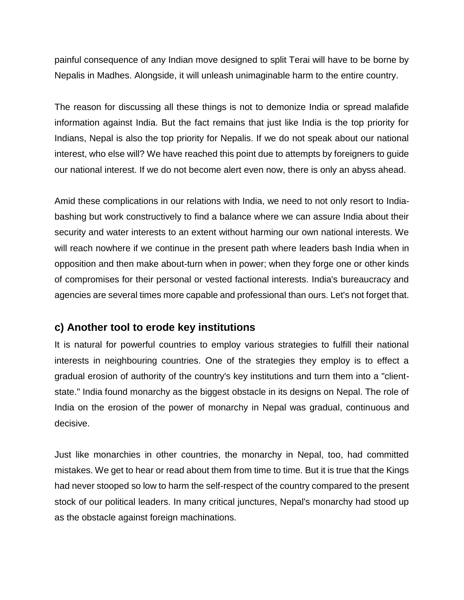painful consequence of any Indian move designed to split Terai will have to be borne by Nepalis in Madhes. Alongside, it will unleash unimaginable harm to the entire country.

The reason for discussing all these things is not to demonize India or spread malafide information against India. But the fact remains that just like India is the top priority for Indians, Nepal is also the top priority for Nepalis. If we do not speak about our national interest, who else will? We have reached this point due to attempts by foreigners to guide our national interest. If we do not become alert even now, there is only an abyss ahead.

Amid these complications in our relations with India, we need to not only resort to Indiabashing but work constructively to find a balance where we can assure India about their security and water interests to an extent without harming our own national interests. We will reach nowhere if we continue in the present path where leaders bash India when in opposition and then make about-turn when in power; when they forge one or other kinds of compromises for their personal or vested factional interests. India's bureaucracy and agencies are several times more capable and professional than ours. Let's not forget that.

### **c) Another tool to erode key institutions**

It is natural for powerful countries to employ various strategies to fulfill their national interests in neighbouring countries. One of the strategies they employ is to effect a gradual erosion of authority of the country's key institutions and turn them into a "clientstate." India found monarchy as the biggest obstacle in its designs on Nepal. The role of India on the erosion of the power of monarchy in Nepal was gradual, continuous and decisive.

Just like monarchies in other countries, the monarchy in Nepal, too, had committed mistakes. We get to hear or read about them from time to time. But it is true that the Kings had never stooped so low to harm the self-respect of the country compared to the present stock of our political leaders. In many critical junctures, Nepal's monarchy had stood up as the obstacle against foreign machinations.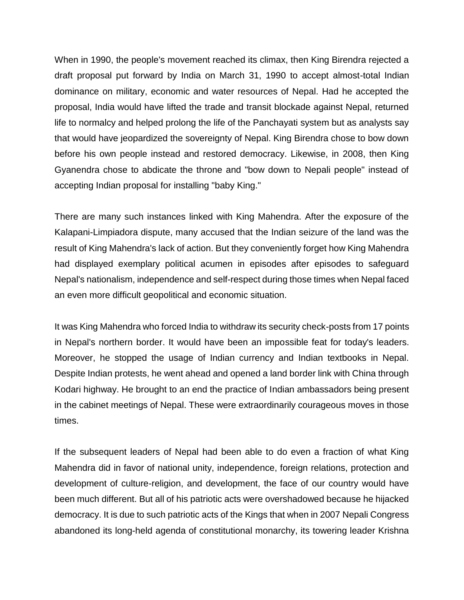When in 1990, the people's movement reached its climax, then King Birendra rejected a draft proposal put forward by India on March 31, 1990 to accept almost-total Indian dominance on military, economic and water resources of Nepal. Had he accepted the proposal, India would have lifted the trade and transit blockade against Nepal, returned life to normalcy and helped prolong the life of the Panchayati system but as analysts say that would have jeopardized the sovereignty of Nepal. King Birendra chose to bow down before his own people instead and restored democracy. Likewise, in 2008, then King Gyanendra chose to abdicate the throne and "bow down to Nepali people" instead of accepting Indian proposal for installing "baby King."

There are many such instances linked with King Mahendra. After the exposure of the Kalapani-Limpiadora dispute, many accused that the Indian seizure of the land was the result of King Mahendra's lack of action. But they conveniently forget how King Mahendra had displayed exemplary political acumen in episodes after episodes to safeguard Nepal's nationalism, independence and self-respect during those times when Nepal faced an even more difficult geopolitical and economic situation.

It was King Mahendra who forced India to withdraw its security check-posts from 17 points in Nepal's northern border. It would have been an impossible feat for today's leaders. Moreover, he stopped the usage of Indian currency and Indian textbooks in Nepal. Despite Indian protests, he went ahead and opened a land border link with China through Kodari highway. He brought to an end the practice of Indian ambassadors being present in the cabinet meetings of Nepal. These were extraordinarily courageous moves in those times.

If the subsequent leaders of Nepal had been able to do even a fraction of what King Mahendra did in favor of national unity, independence, foreign relations, protection and development of culture-religion, and development, the face of our country would have been much different. But all of his patriotic acts were overshadowed because he hijacked democracy. It is due to such patriotic acts of the Kings that when in 2007 Nepali Congress abandoned its long-held agenda of constitutional monarchy, its towering leader Krishna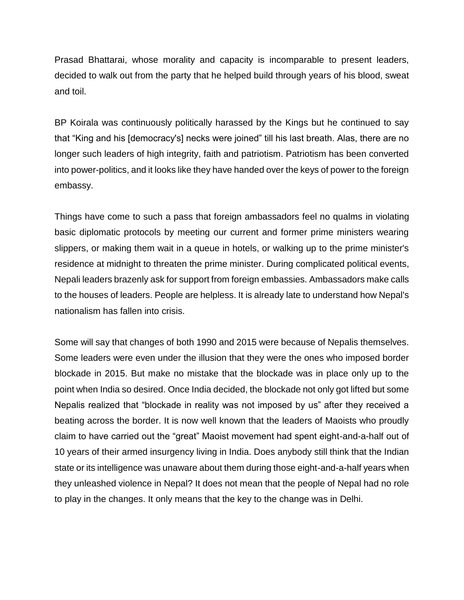Prasad Bhattarai, whose morality and capacity is incomparable to present leaders, decided to walk out from the party that he helped build through years of his blood, sweat and toil.

BP Koirala was continuously politically harassed by the Kings but he continued to say that "King and his [democracy's] necks were joined" till his last breath. Alas, there are no longer such leaders of high integrity, faith and patriotism. Patriotism has been converted into power-politics, and it looks like they have handed over the keys of power to the foreign embassy.

Things have come to such a pass that foreign ambassadors feel no qualms in violating basic diplomatic protocols by meeting our current and former prime ministers wearing slippers, or making them wait in a queue in hotels, or walking up to the prime minister's residence at midnight to threaten the prime minister. During complicated political events, Nepali leaders brazenly ask for support from foreign embassies. Ambassadors make calls to the houses of leaders. People are helpless. It is already late to understand how Nepal's nationalism has fallen into crisis.

Some will say that changes of both 1990 and 2015 were because of Nepalis themselves. Some leaders were even under the illusion that they were the ones who imposed border blockade in 2015. But make no mistake that the blockade was in place only up to the point when India so desired. Once India decided, the blockade not only got lifted but some Nepalis realized that "blockade in reality was not imposed by us" after they received a beating across the border. It is now well known that the leaders of Maoists who proudly claim to have carried out the "great" Maoist movement had spent eight-and-a-half out of 10 years of their armed insurgency living in India. Does anybody still think that the Indian state or its intelligence was unaware about them during those eight-and-a-half years when they unleashed violence in Nepal? It does not mean that the people of Nepal had no role to play in the changes. It only means that the key to the change was in Delhi.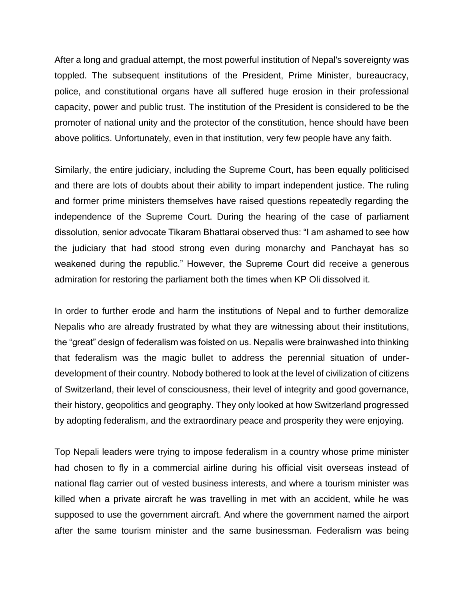After a long and gradual attempt, the most powerful institution of Nepal's sovereignty was toppled. The subsequent institutions of the President, Prime Minister, bureaucracy, police, and constitutional organs have all suffered huge erosion in their professional capacity, power and public trust. The institution of the President is considered to be the promoter of national unity and the protector of the constitution, hence should have been above politics. Unfortunately, even in that institution, very few people have any faith.

Similarly, the entire judiciary, including the Supreme Court, has been equally politicised and there are lots of doubts about their ability to impart independent justice. The ruling and former prime ministers themselves have raised questions repeatedly regarding the independence of the Supreme Court. During the hearing of the case of parliament dissolution, senior advocate Tikaram Bhattarai observed thus: "I am ashamed to see how the judiciary that had stood strong even during monarchy and Panchayat has so weakened during the republic." However, the Supreme Court did receive a generous admiration for restoring the parliament both the times when KP Oli dissolved it.

In order to further erode and harm the institutions of Nepal and to further demoralize Nepalis who are already frustrated by what they are witnessing about their institutions, the "great" design of federalism was foisted on us. Nepalis were brainwashed into thinking that federalism was the magic bullet to address the perennial situation of underdevelopment of their country. Nobody bothered to look at the level of civilization of citizens of Switzerland, their level of consciousness, their level of integrity and good governance, their history, geopolitics and geography. They only looked at how Switzerland progressed by adopting federalism, and the extraordinary peace and prosperity they were enjoying.

Top Nepali leaders were trying to impose federalism in a country whose prime minister had chosen to fly in a commercial airline during his official visit overseas instead of national flag carrier out of vested business interests, and where a tourism minister was killed when a private aircraft he was travelling in met with an accident, while he was supposed to use the government aircraft. And where the government named the airport after the same tourism minister and the same businessman. Federalism was being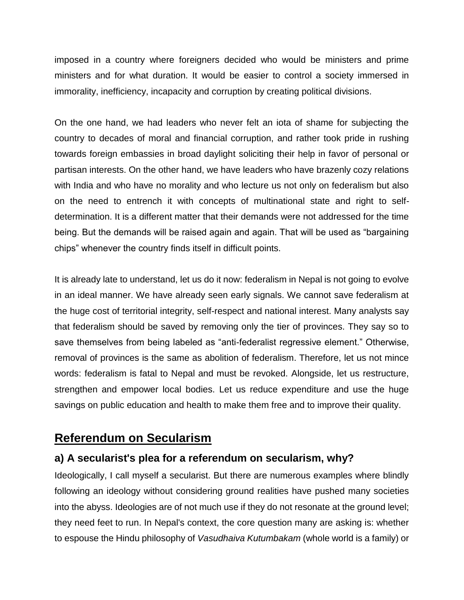imposed in a country where foreigners decided who would be ministers and prime ministers and for what duration. It would be easier to control a society immersed in immorality, inefficiency, incapacity and corruption by creating political divisions.

On the one hand, we had leaders who never felt an iota of shame for subjecting the country to decades of moral and financial corruption, and rather took pride in rushing towards foreign embassies in broad daylight soliciting their help in favor of personal or partisan interests. On the other hand, we have leaders who have brazenly cozy relations with India and who have no morality and who lecture us not only on federalism but also on the need to entrench it with concepts of multinational state and right to selfdetermination. It is a different matter that their demands were not addressed for the time being. But the demands will be raised again and again. That will be used as "bargaining chips" whenever the country finds itself in difficult points.

It is already late to understand, let us do it now: federalism in Nepal is not going to evolve in an ideal manner. We have already seen early signals. We cannot save federalism at the huge cost of territorial integrity, self-respect and national interest. Many analysts say that federalism should be saved by removing only the tier of provinces. They say so to save themselves from being labeled as "anti-federalist regressive element." Otherwise, removal of provinces is the same as abolition of federalism. Therefore, let us not mince words: federalism is fatal to Nepal and must be revoked. Alongside, let us restructure, strengthen and empower local bodies. Let us reduce expenditure and use the huge savings on public education and health to make them free and to improve their quality.

## **Referendum on Secularism**

### **a) A secularist's plea for a referendum on secularism, why?**

Ideologically, I call myself a secularist. But there are numerous examples where blindly following an ideology without considering ground realities have pushed many societies into the abyss. Ideologies are of not much use if they do not resonate at the ground level; they need feet to run. In Nepal's context, the core question many are asking is: whether to espouse the Hindu philosophy of *Vasudhaiva Kutumbakam* (whole world is a family) or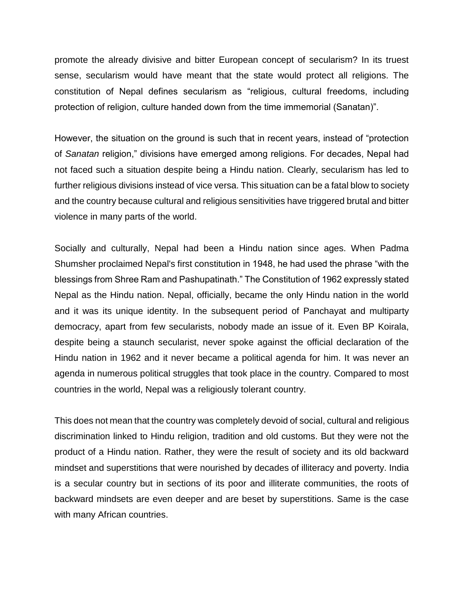promote the already divisive and bitter European concept of secularism? In its truest sense, secularism would have meant that the state would protect all religions. The constitution of Nepal defines secularism as "religious, cultural freedoms, including protection of religion, culture handed down from the time immemorial (Sanatan)".

However, the situation on the ground is such that in recent years, instead of "protection of *Sanatan* religion," divisions have emerged among religions. For decades, Nepal had not faced such a situation despite being a Hindu nation. Clearly, secularism has led to further religious divisions instead of vice versa. This situation can be a fatal blow to society and the country because cultural and religious sensitivities have triggered brutal and bitter violence in many parts of the world.

Socially and culturally, Nepal had been a Hindu nation since ages. When Padma Shumsher proclaimed Nepal's first constitution in 1948, he had used the phrase "with the blessings from Shree Ram and Pashupatinath." The Constitution of 1962 expressly stated Nepal as the Hindu nation. Nepal, officially, became the only Hindu nation in the world and it was its unique identity. In the subsequent period of Panchayat and multiparty democracy, apart from few secularists, nobody made an issue of it. Even BP Koirala, despite being a staunch secularist, never spoke against the official declaration of the Hindu nation in 1962 and it never became a political agenda for him. It was never an agenda in numerous political struggles that took place in the country. Compared to most countries in the world, Nepal was a religiously tolerant country.

This does not mean that the country was completely devoid of social, cultural and religious discrimination linked to Hindu religion, tradition and old customs. But they were not the product of a Hindu nation. Rather, they were the result of society and its old backward mindset and superstitions that were nourished by decades of illiteracy and poverty. India is a secular country but in sections of its poor and illiterate communities, the roots of backward mindsets are even deeper and are beset by superstitions. Same is the case with many African countries.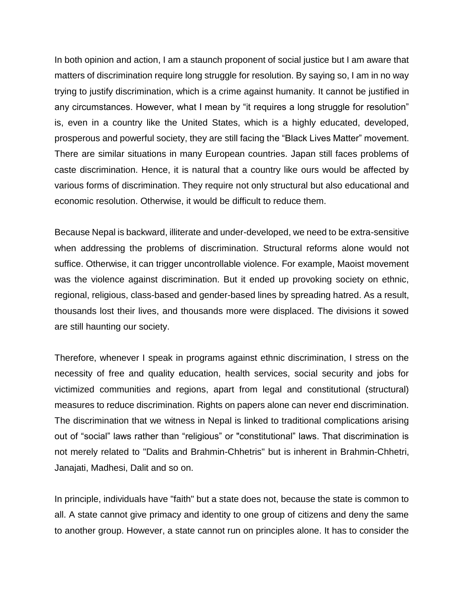In both opinion and action, I am a staunch proponent of social justice but I am aware that matters of discrimination require long struggle for resolution. By saying so, I am in no way trying to justify discrimination, which is a crime against humanity. It cannot be justified in any circumstances. However, what I mean by "it requires a long struggle for resolution" is, even in a country like the United States, which is a highly educated, developed, prosperous and powerful society, they are still facing the "Black Lives Matter" movement. There are similar situations in many European countries. Japan still faces problems of caste discrimination. Hence, it is natural that a country like ours would be affected by various forms of discrimination. They require not only structural but also educational and economic resolution. Otherwise, it would be difficult to reduce them.

Because Nepal is backward, illiterate and under-developed, we need to be extra-sensitive when addressing the problems of discrimination. Structural reforms alone would not suffice. Otherwise, it can trigger uncontrollable violence. For example, Maoist movement was the violence against discrimination. But it ended up provoking society on ethnic, regional, religious, class-based and gender-based lines by spreading hatred. As a result, thousands lost their lives, and thousands more were displaced. The divisions it sowed are still haunting our society.

Therefore, whenever I speak in programs against ethnic discrimination, I stress on the necessity of free and quality education, health services, social security and jobs for victimized communities and regions, apart from legal and constitutional (structural) measures to reduce discrimination. Rights on papers alone can never end discrimination. The discrimination that we witness in Nepal is linked to traditional complications arising out of "social" laws rather than "religious" or "constitutional" laws. That discrimination is not merely related to "Dalits and Brahmin-Chhetris" but is inherent in Brahmin-Chhetri, Janajati, Madhesi, Dalit and so on.

In principle, individuals have "faith" but a state does not, because the state is common to all. A state cannot give primacy and identity to one group of citizens and deny the same to another group. However, a state cannot run on principles alone. It has to consider the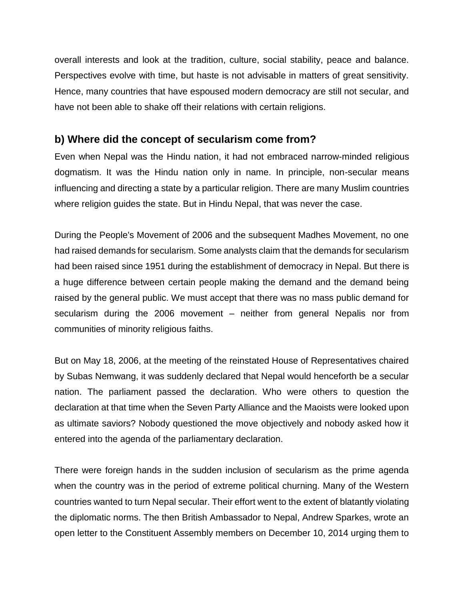overall interests and look at the tradition, culture, social stability, peace and balance. Perspectives evolve with time, but haste is not advisable in matters of great sensitivity. Hence, many countries that have espoused modern democracy are still not secular, and have not been able to shake off their relations with certain religions.

#### **b) Where did the concept of secularism come from?**

Even when Nepal was the Hindu nation, it had not embraced narrow-minded religious dogmatism. It was the Hindu nation only in name. In principle, non-secular means influencing and directing a state by a particular religion. There are many Muslim countries where religion guides the state. But in Hindu Nepal, that was never the case.

During the People's Movement of 2006 and the subsequent Madhes Movement, no one had raised demands for secularism. Some analysts claim that the demands for secularism had been raised since 1951 during the establishment of democracy in Nepal. But there is a huge difference between certain people making the demand and the demand being raised by the general public. We must accept that there was no mass public demand for secularism during the 2006 movement – neither from general Nepalis nor from communities of minority religious faiths.

But on May 18, 2006, at the meeting of the reinstated House of Representatives chaired by Subas Nemwang, it was suddenly declared that Nepal would henceforth be a secular nation. The parliament passed the declaration. Who were others to question the declaration at that time when the Seven Party Alliance and the Maoists were looked upon as ultimate saviors? Nobody questioned the move objectively and nobody asked how it entered into the agenda of the parliamentary declaration.

There were foreign hands in the sudden inclusion of secularism as the prime agenda when the country was in the period of extreme political churning. Many of the Western countries wanted to turn Nepal secular. Their effort went to the extent of blatantly violating the diplomatic norms. The then British Ambassador to Nepal, Andrew Sparkes, wrote an open letter to the Constituent Assembly members on December 10, 2014 urging them to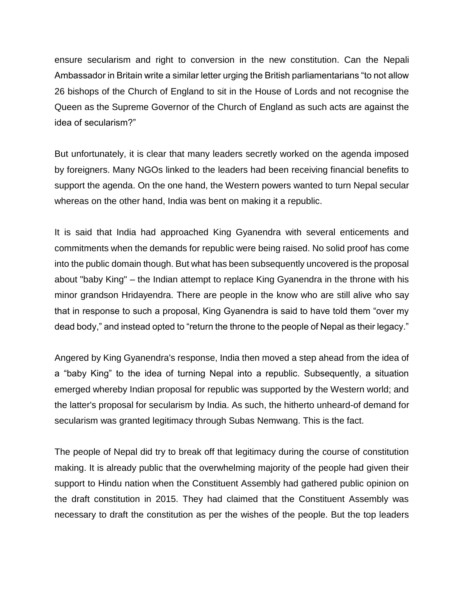ensure secularism and right to conversion in the new constitution. Can the Nepali Ambassador in Britain write a similar letter urging the British parliamentarians "to not allow 26 bishops of the Church of England to sit in the House of Lords and not recognise the Queen as the Supreme Governor of the Church of England as such acts are against the idea of secularism?"

But unfortunately, it is clear that many leaders secretly worked on the agenda imposed by foreigners. Many NGOs linked to the leaders had been receiving financial benefits to support the agenda. On the one hand, the Western powers wanted to turn Nepal secular whereas on the other hand, India was bent on making it a republic.

It is said that India had approached King Gyanendra with several enticements and commitments when the demands for republic were being raised. No solid proof has come into the public domain though. But what has been subsequently uncovered is the proposal about "baby King" – the Indian attempt to replace King Gyanendra in the throne with his minor grandson Hridayendra. There are people in the know who are still alive who say that in response to such a proposal, King Gyanendra is said to have told them "over my dead body," and instead opted to "return the throne to the people of Nepal as their legacy."

Angered by King Gyanendra's response, India then moved a step ahead from the idea of a "baby King" to the idea of turning Nepal into a republic. Subsequently, a situation emerged whereby Indian proposal for republic was supported by the Western world; and the latter's proposal for secularism by India. As such, the hitherto unheard-of demand for secularism was granted legitimacy through Subas Nemwang. This is the fact.

The people of Nepal did try to break off that legitimacy during the course of constitution making. It is already public that the overwhelming majority of the people had given their support to Hindu nation when the Constituent Assembly had gathered public opinion on the draft constitution in 2015. They had claimed that the Constituent Assembly was necessary to draft the constitution as per the wishes of the people. But the top leaders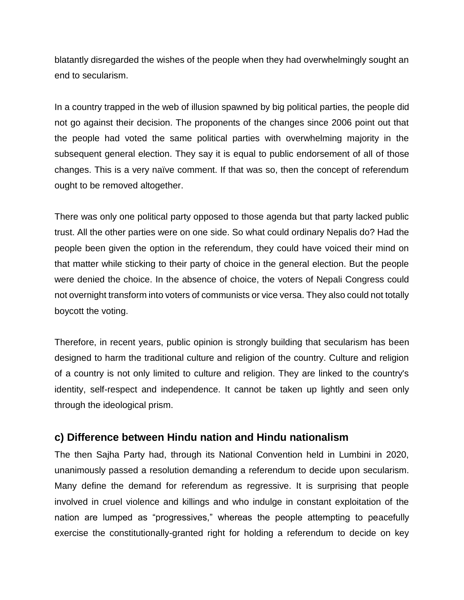blatantly disregarded the wishes of the people when they had overwhelmingly sought an end to secularism.

In a country trapped in the web of illusion spawned by big political parties, the people did not go against their decision. The proponents of the changes since 2006 point out that the people had voted the same political parties with overwhelming majority in the subsequent general election. They say it is equal to public endorsement of all of those changes. This is a very naïve comment. If that was so, then the concept of referendum ought to be removed altogether.

There was only one political party opposed to those agenda but that party lacked public trust. All the other parties were on one side. So what could ordinary Nepalis do? Had the people been given the option in the referendum, they could have voiced their mind on that matter while sticking to their party of choice in the general election. But the people were denied the choice. In the absence of choice, the voters of Nepali Congress could not overnight transform into voters of communists or vice versa. They also could not totally boycott the voting.

Therefore, in recent years, public opinion is strongly building that secularism has been designed to harm the traditional culture and religion of the country. Culture and religion of a country is not only limited to culture and religion. They are linked to the country's identity, self-respect and independence. It cannot be taken up lightly and seen only through the ideological prism.

#### **c) Difference between Hindu nation and Hindu nationalism**

The then Sajha Party had, through its National Convention held in Lumbini in 2020, unanimously passed a resolution demanding a referendum to decide upon secularism. Many define the demand for referendum as regressive. It is surprising that people involved in cruel violence and killings and who indulge in constant exploitation of the nation are lumped as "progressives," whereas the people attempting to peacefully exercise the constitutionally-granted right for holding a referendum to decide on key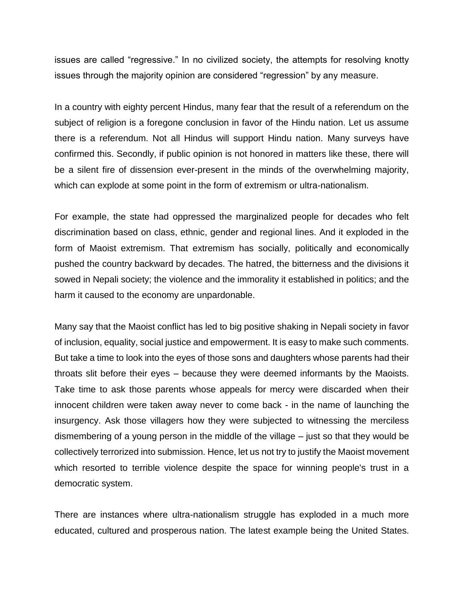issues are called "regressive." In no civilized society, the attempts for resolving knotty issues through the majority opinion are considered "regression" by any measure.

In a country with eighty percent Hindus, many fear that the result of a referendum on the subject of religion is a foregone conclusion in favor of the Hindu nation. Let us assume there is a referendum. Not all Hindus will support Hindu nation. Many surveys have confirmed this. Secondly, if public opinion is not honored in matters like these, there will be a silent fire of dissension ever-present in the minds of the overwhelming majority, which can explode at some point in the form of extremism or ultra-nationalism.

For example, the state had oppressed the marginalized people for decades who felt discrimination based on class, ethnic, gender and regional lines. And it exploded in the form of Maoist extremism. That extremism has socially, politically and economically pushed the country backward by decades. The hatred, the bitterness and the divisions it sowed in Nepali society; the violence and the immorality it established in politics; and the harm it caused to the economy are unpardonable.

Many say that the Maoist conflict has led to big positive shaking in Nepali society in favor of inclusion, equality, social justice and empowerment. It is easy to make such comments. But take a time to look into the eyes of those sons and daughters whose parents had their throats slit before their eyes – because they were deemed informants by the Maoists. Take time to ask those parents whose appeals for mercy were discarded when their innocent children were taken away never to come back - in the name of launching the insurgency. Ask those villagers how they were subjected to witnessing the merciless dismembering of a young person in the middle of the village – just so that they would be collectively terrorized into submission. Hence, let us not try to justify the Maoist movement which resorted to terrible violence despite the space for winning people's trust in a democratic system.

There are instances where ultra-nationalism struggle has exploded in a much more educated, cultured and prosperous nation. The latest example being the United States.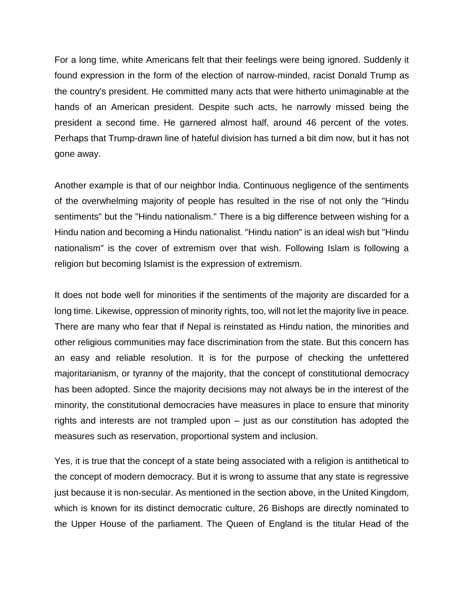For a long time, white Americans felt that their feelings were being ignored. Suddenly it found expression in the form of the election of narrow-minded, racist Donald Trump as the country's president. He committed many acts that were hitherto unimaginable at the hands of an American president. Despite such acts, he narrowly missed being the president a second time. He garnered almost half, around 46 percent of the votes. Perhaps that Trump-drawn line of hateful division has turned a bit dim now, but it has not gone away.

Another example is that of our neighbor India. Continuous negligence of the sentiments of the overwhelming majority of people has resulted in the rise of not only the "Hindu sentiments" but the "Hindu nationalism." There is a big difference between wishing for a Hindu nation and becoming a Hindu nationalist. "Hindu nation" is an ideal wish but "Hindu nationalism" is the cover of extremism over that wish. Following Islam is following a religion but becoming Islamist is the expression of extremism.

It does not bode well for minorities if the sentiments of the majority are discarded for a long time. Likewise, oppression of minority rights, too, will not let the majority live in peace. There are many who fear that if Nepal is reinstated as Hindu nation, the minorities and other religious communities may face discrimination from the state. But this concern has an easy and reliable resolution. It is for the purpose of checking the unfettered majoritarianism, or tyranny of the majority, that the concept of constitutional democracy has been adopted. Since the majority decisions may not always be in the interest of the minority, the constitutional democracies have measures in place to ensure that minority rights and interests are not trampled upon – just as our constitution has adopted the measures such as reservation, proportional system and inclusion.

Yes, it is true that the concept of a state being associated with a religion is antithetical to the concept of modern democracy. But it is wrong to assume that any state is regressive just because it is non-secular. As mentioned in the section above, in the United Kingdom, which is known for its distinct democratic culture, 26 Bishops are directly nominated to the Upper House of the parliament. The Queen of England is the titular Head of the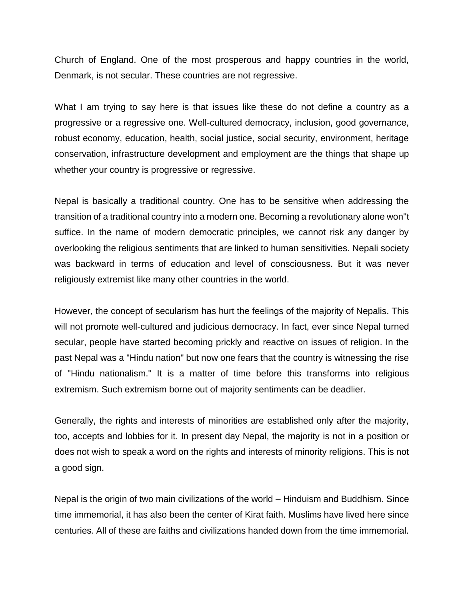Church of England. One of the most prosperous and happy countries in the world, Denmark, is not secular. These countries are not regressive.

What I am trying to say here is that issues like these do not define a country as a progressive or a regressive one. Well-cultured democracy, inclusion, good governance, robust economy, education, health, social justice, social security, environment, heritage conservation, infrastructure development and employment are the things that shape up whether your country is progressive or regressive.

Nepal is basically a traditional country. One has to be sensitive when addressing the transition of a traditional country into a modern one. Becoming a revolutionary alone won"t suffice. In the name of modern democratic principles, we cannot risk any danger by overlooking the religious sentiments that are linked to human sensitivities. Nepali society was backward in terms of education and level of consciousness. But it was never religiously extremist like many other countries in the world.

However, the concept of secularism has hurt the feelings of the majority of Nepalis. This will not promote well-cultured and judicious democracy. In fact, ever since Nepal turned secular, people have started becoming prickly and reactive on issues of religion. In the past Nepal was a "Hindu nation" but now one fears that the country is witnessing the rise of "Hindu nationalism." It is a matter of time before this transforms into religious extremism. Such extremism borne out of majority sentiments can be deadlier.

Generally, the rights and interests of minorities are established only after the majority, too, accepts and lobbies for it. In present day Nepal, the majority is not in a position or does not wish to speak a word on the rights and interests of minority religions. This is not a good sign.

Nepal is the origin of two main civilizations of the world – Hinduism and Buddhism. Since time immemorial, it has also been the center of Kirat faith. Muslims have lived here since centuries. All of these are faiths and civilizations handed down from the time immemorial.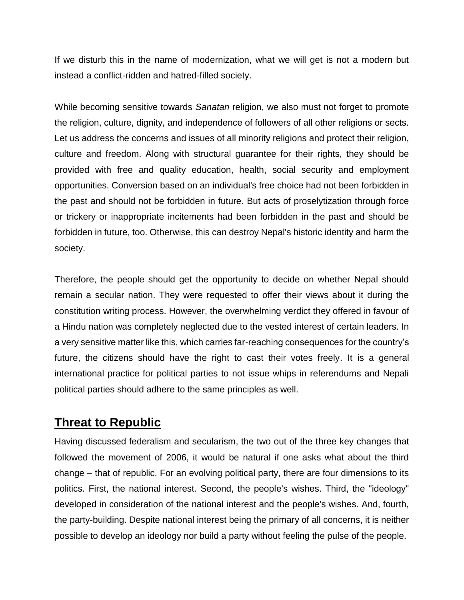If we disturb this in the name of modernization, what we will get is not a modern but instead a conflict-ridden and hatred-filled society.

While becoming sensitive towards *Sanatan* religion, we also must not forget to promote the religion, culture, dignity, and independence of followers of all other religions or sects. Let us address the concerns and issues of all minority religions and protect their religion, culture and freedom. Along with structural guarantee for their rights, they should be provided with free and quality education, health, social security and employment opportunities. Conversion based on an individual's free choice had not been forbidden in the past and should not be forbidden in future. But acts of proselytization through force or trickery or inappropriate incitements had been forbidden in the past and should be forbidden in future, too. Otherwise, this can destroy Nepal's historic identity and harm the society.

Therefore, the people should get the opportunity to decide on whether Nepal should remain a secular nation. They were requested to offer their views about it during the constitution writing process. However, the overwhelming verdict they offered in favour of a Hindu nation was completely neglected due to the vested interest of certain leaders. In a very sensitive matter like this, which carries far-reaching consequences for the country's future, the citizens should have the right to cast their votes freely. It is a general international practice for political parties to not issue whips in referendums and Nepali political parties should adhere to the same principles as well.

## **Threat to Republic**

Having discussed federalism and secularism, the two out of the three key changes that followed the movement of 2006, it would be natural if one asks what about the third change – that of republic. For an evolving political party, there are four dimensions to its politics. First, the national interest. Second, the people's wishes. Third, the "ideology" developed in consideration of the national interest and the people's wishes. And, fourth, the party-building. Despite national interest being the primary of all concerns, it is neither possible to develop an ideology nor build a party without feeling the pulse of the people.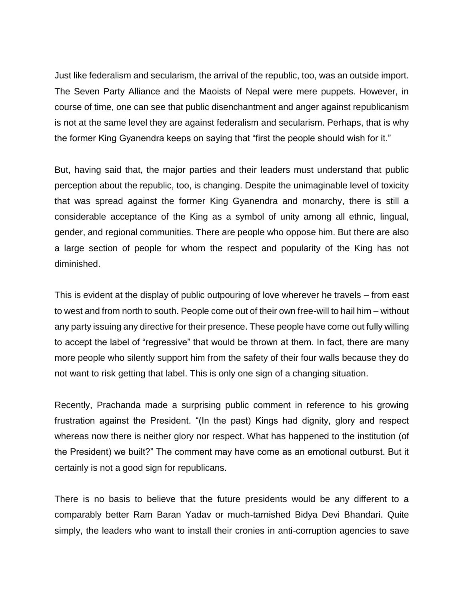Just like federalism and secularism, the arrival of the republic, too, was an outside import. The Seven Party Alliance and the Maoists of Nepal were mere puppets. However, in course of time, one can see that public disenchantment and anger against republicanism is not at the same level they are against federalism and secularism. Perhaps, that is why the former King Gyanendra keeps on saying that "first the people should wish for it."

But, having said that, the major parties and their leaders must understand that public perception about the republic, too, is changing. Despite the unimaginable level of toxicity that was spread against the former King Gyanendra and monarchy, there is still a considerable acceptance of the King as a symbol of unity among all ethnic, lingual, gender, and regional communities. There are people who oppose him. But there are also a large section of people for whom the respect and popularity of the King has not diminished.

This is evident at the display of public outpouring of love wherever he travels – from east to west and from north to south. People come out of their own free-will to hail him – without any party issuing any directive for their presence. These people have come out fully willing to accept the label of "regressive" that would be thrown at them. In fact, there are many more people who silently support him from the safety of their four walls because they do not want to risk getting that label. This is only one sign of a changing situation.

Recently, Prachanda made a surprising public comment in reference to his growing frustration against the President. "(In the past) Kings had dignity, glory and respect whereas now there is neither glory nor respect. What has happened to the institution (of the President) we built?" The comment may have come as an emotional outburst. But it certainly is not a good sign for republicans.

There is no basis to believe that the future presidents would be any different to a comparably better Ram Baran Yadav or much-tarnished Bidya Devi Bhandari. Quite simply, the leaders who want to install their cronies in anti-corruption agencies to save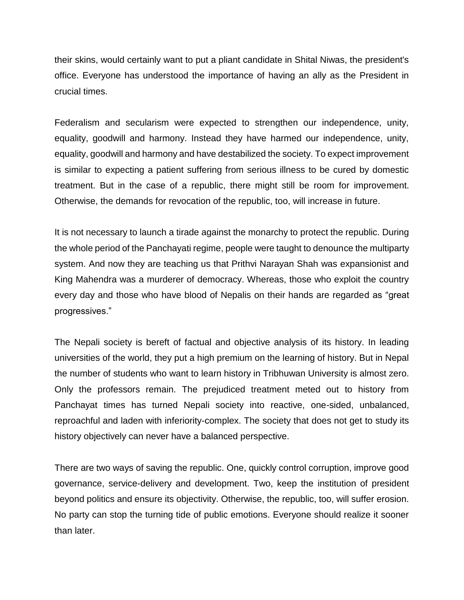their skins, would certainly want to put a pliant candidate in Shital Niwas, the president's office. Everyone has understood the importance of having an ally as the President in crucial times.

Federalism and secularism were expected to strengthen our independence, unity, equality, goodwill and harmony. Instead they have harmed our independence, unity, equality, goodwill and harmony and have destabilized the society. To expect improvement is similar to expecting a patient suffering from serious illness to be cured by domestic treatment. But in the case of a republic, there might still be room for improvement. Otherwise, the demands for revocation of the republic, too, will increase in future.

It is not necessary to launch a tirade against the monarchy to protect the republic. During the whole period of the Panchayati regime, people were taught to denounce the multiparty system. And now they are teaching us that Prithvi Narayan Shah was expansionist and King Mahendra was a murderer of democracy. Whereas, those who exploit the country every day and those who have blood of Nepalis on their hands are regarded as "great progressives."

The Nepali society is bereft of factual and objective analysis of its history. In leading universities of the world, they put a high premium on the learning of history. But in Nepal the number of students who want to learn history in Tribhuwan University is almost zero. Only the professors remain. The prejudiced treatment meted out to history from Panchayat times has turned Nepali society into reactive, one-sided, unbalanced, reproachful and laden with inferiority-complex. The society that does not get to study its history objectively can never have a balanced perspective.

There are two ways of saving the republic. One, quickly control corruption, improve good governance, service-delivery and development. Two, keep the institution of president beyond politics and ensure its objectivity. Otherwise, the republic, too, will suffer erosion. No party can stop the turning tide of public emotions. Everyone should realize it sooner than later.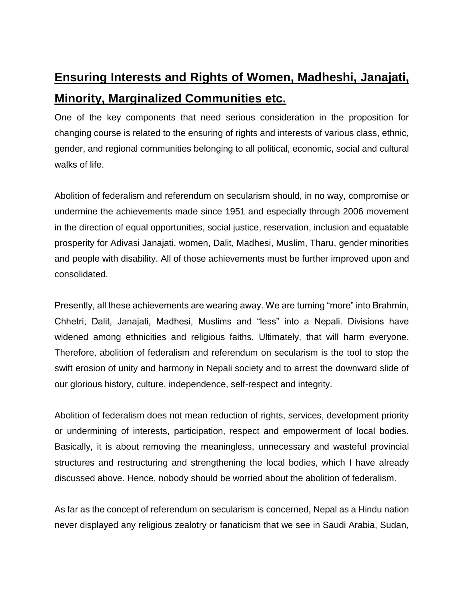# **Ensuring Interests and Rights of Women, Madheshi, Janajati, Minority, Marginalized Communities etc.**

One of the key components that need serious consideration in the proposition for changing course is related to the ensuring of rights and interests of various class, ethnic, gender, and regional communities belonging to all political, economic, social and cultural walks of life.

Abolition of federalism and referendum on secularism should, in no way, compromise or undermine the achievements made since 1951 and especially through 2006 movement in the direction of equal opportunities, social justice, reservation, inclusion and equatable prosperity for Adivasi Janajati, women, Dalit, Madhesi, Muslim, Tharu, gender minorities and people with disability. All of those achievements must be further improved upon and consolidated.

Presently, all these achievements are wearing away. We are turning "more" into Brahmin, Chhetri, Dalit, Janajati, Madhesi, Muslims and "less" into a Nepali. Divisions have widened among ethnicities and religious faiths. Ultimately, that will harm everyone. Therefore, abolition of federalism and referendum on secularism is the tool to stop the swift erosion of unity and harmony in Nepali society and to arrest the downward slide of our glorious history, culture, independence, self-respect and integrity.

Abolition of federalism does not mean reduction of rights, services, development priority or undermining of interests, participation, respect and empowerment of local bodies. Basically, it is about removing the meaningless, unnecessary and wasteful provincial structures and restructuring and strengthening the local bodies, which I have already discussed above. Hence, nobody should be worried about the abolition of federalism.

As far as the concept of referendum on secularism is concerned, Nepal as a Hindu nation never displayed any religious zealotry or fanaticism that we see in Saudi Arabia, Sudan,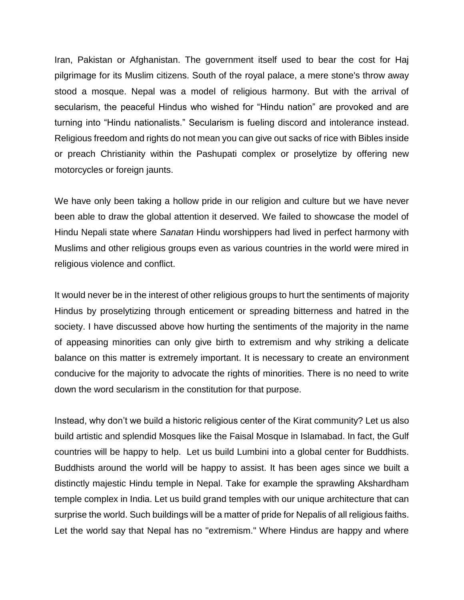Iran, Pakistan or Afghanistan. The government itself used to bear the cost for Haj pilgrimage for its Muslim citizens. South of the royal palace, a mere stone's throw away stood a mosque. Nepal was a model of religious harmony. But with the arrival of secularism, the peaceful Hindus who wished for "Hindu nation" are provoked and are turning into "Hindu nationalists." Secularism is fueling discord and intolerance instead. Religious freedom and rights do not mean you can give out sacks of rice with Bibles inside or preach Christianity within the Pashupati complex or proselytize by offering new motorcycles or foreign jaunts.

We have only been taking a hollow pride in our religion and culture but we have never been able to draw the global attention it deserved. We failed to showcase the model of Hindu Nepali state where *Sanatan* Hindu worshippers had lived in perfect harmony with Muslims and other religious groups even as various countries in the world were mired in religious violence and conflict.

It would never be in the interest of other religious groups to hurt the sentiments of majority Hindus by proselytizing through enticement or spreading bitterness and hatred in the society. I have discussed above how hurting the sentiments of the majority in the name of appeasing minorities can only give birth to extremism and why striking a delicate balance on this matter is extremely important. It is necessary to create an environment conducive for the majority to advocate the rights of minorities. There is no need to write down the word secularism in the constitution for that purpose.

Instead, why don't we build a historic religious center of the Kirat community? Let us also build artistic and splendid Mosques like the Faisal Mosque in Islamabad. In fact, the Gulf countries will be happy to help. Let us build Lumbini into a global center for Buddhists. Buddhists around the world will be happy to assist. It has been ages since we built a distinctly majestic Hindu temple in Nepal. Take for example the sprawling Akshardham temple complex in India. Let us build grand temples with our unique architecture that can surprise the world. Such buildings will be a matter of pride for Nepalis of all religious faiths. Let the world say that Nepal has no "extremism." Where Hindus are happy and where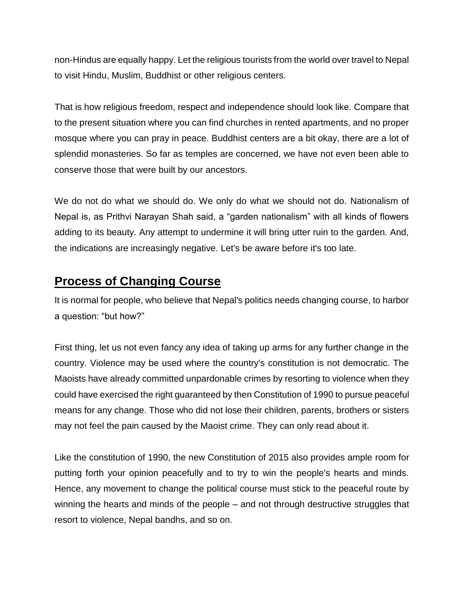non-Hindus are equally happy. Let the religious tourists from the world over travel to Nepal to visit Hindu, Muslim, Buddhist or other religious centers.

That is how religious freedom, respect and independence should look like. Compare that to the present situation where you can find churches in rented apartments, and no proper mosque where you can pray in peace. Buddhist centers are a bit okay, there are a lot of splendid monasteries. So far as temples are concerned, we have not even been able to conserve those that were built by our ancestors.

We do not do what we should do. We only do what we should not do. Nationalism of Nepal is, as Prithvi Narayan Shah said, a "garden nationalism" with all kinds of flowers adding to its beauty. Any attempt to undermine it will bring utter ruin to the garden. And, the indications are increasingly negative. Let's be aware before it's too late.

## **Process of Changing Course**

It is normal for people, who believe that Nepal's politics needs changing course, to harbor a question: "but how?"

First thing, let us not even fancy any idea of taking up arms for any further change in the country. Violence may be used where the country's constitution is not democratic. The Maoists have already committed unpardonable crimes by resorting to violence when they could have exercised the right guaranteed by then Constitution of 1990 to pursue peaceful means for any change. Those who did not lose their children, parents, brothers or sisters may not feel the pain caused by the Maoist crime. They can only read about it.

Like the constitution of 1990, the new Constitution of 2015 also provides ample room for putting forth your opinion peacefully and to try to win the people's hearts and minds. Hence, any movement to change the political course must stick to the peaceful route by winning the hearts and minds of the people – and not through destructive struggles that resort to violence, Nepal bandhs, and so on.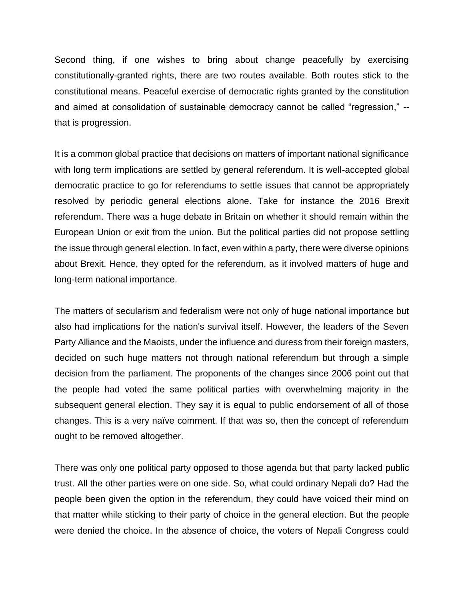Second thing, if one wishes to bring about change peacefully by exercising constitutionally-granted rights, there are two routes available. Both routes stick to the constitutional means. Peaceful exercise of democratic rights granted by the constitution and aimed at consolidation of sustainable democracy cannot be called "regression," - that is progression.

It is a common global practice that decisions on matters of important national significance with long term implications are settled by general referendum. It is well-accepted global democratic practice to go for referendums to settle issues that cannot be appropriately resolved by periodic general elections alone. Take for instance the 2016 Brexit referendum. There was a huge debate in Britain on whether it should remain within the European Union or exit from the union. But the political parties did not propose settling the issue through general election. In fact, even within a party, there were diverse opinions about Brexit. Hence, they opted for the referendum, as it involved matters of huge and long-term national importance.

The matters of secularism and federalism were not only of huge national importance but also had implications for the nation's survival itself. However, the leaders of the Seven Party Alliance and the Maoists, under the influence and duress from their foreign masters, decided on such huge matters not through national referendum but through a simple decision from the parliament. The proponents of the changes since 2006 point out that the people had voted the same political parties with overwhelming majority in the subsequent general election. They say it is equal to public endorsement of all of those changes. This is a very naïve comment. If that was so, then the concept of referendum ought to be removed altogether.

There was only one political party opposed to those agenda but that party lacked public trust. All the other parties were on one side. So, what could ordinary Nepali do? Had the people been given the option in the referendum, they could have voiced their mind on that matter while sticking to their party of choice in the general election. But the people were denied the choice. In the absence of choice, the voters of Nepali Congress could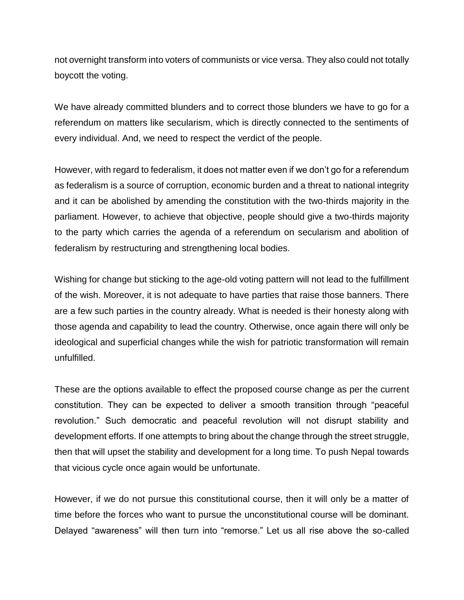not overnight transform into voters of communists or vice versa. They also could not totally boycott the voting.

We have already committed blunders and to correct those blunders we have to go for a referendum on matters like secularism, which is directly connected to the sentiments of every individual. And, we need to respect the verdict of the people.

However, with regard to federalism, it does not matter even if we don't go for a referendum as federalism is a source of corruption, economic burden and a threat to national integrity and it can be abolished by amending the constitution with the two-thirds majority in the parliament. However, to achieve that objective, people should give a two-thirds majority to the party which carries the agenda of a referendum on secularism and abolition of federalism by restructuring and strengthening local bodies.

Wishing for change but sticking to the age-old voting pattern will not lead to the fulfillment of the wish. Moreover, it is not adequate to have parties that raise those banners. There are a few such parties in the country already. What is needed is their honesty along with those agenda and capability to lead the country. Otherwise, once again there will only be ideological and superficial changes while the wish for patriotic transformation will remain unfulfilled.

These are the options available to effect the proposed course change as per the current constitution. They can be expected to deliver a smooth transition through "peaceful revolution." Such democratic and peaceful revolution will not disrupt stability and development efforts. If one attempts to bring about the change through the street struggle, then that will upset the stability and development for a long time. To push Nepal towards that vicious cycle once again would be unfortunate.

However, if we do not pursue this constitutional course, then it will only be a matter of time before the forces who want to pursue the unconstitutional course will be dominant. Delayed "awareness" will then turn into "remorse." Let us all rise above the so-called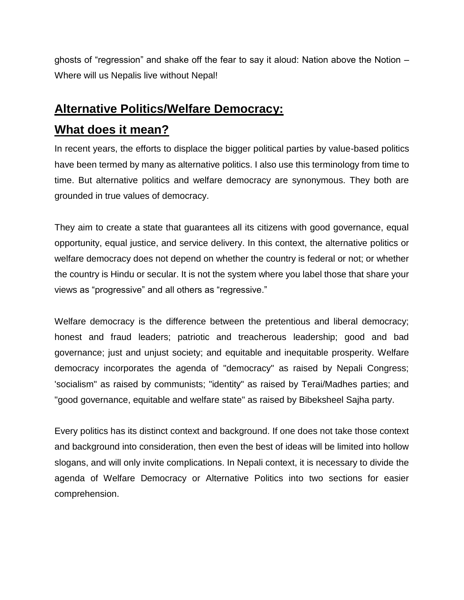ghosts of "regression" and shake off the fear to say it aloud: Nation above the Notion – Where will us Nepalis live without Nepal!

## **Alternative Politics/Welfare Democracy:**

## **What does it mean?**

In recent years, the efforts to displace the bigger political parties by value-based politics have been termed by many as alternative politics. I also use this terminology from time to time. But alternative politics and welfare democracy are synonymous. They both are grounded in true values of democracy.

They aim to create a state that guarantees all its citizens with good governance, equal opportunity, equal justice, and service delivery. In this context, the alternative politics or welfare democracy does not depend on whether the country is federal or not; or whether the country is Hindu or secular. It is not the system where you label those that share your views as "progressive" and all others as "regressive."

Welfare democracy is the difference between the pretentious and liberal democracy; honest and fraud leaders; patriotic and treacherous leadership; good and bad governance; just and unjust society; and equitable and inequitable prosperity. Welfare democracy incorporates the agenda of "democracy" as raised by Nepali Congress; 'socialism" as raised by communists; "identity" as raised by Terai/Madhes parties; and "good governance, equitable and welfare state" as raised by Bibeksheel Sajha party.

Every politics has its distinct context and background. If one does not take those context and background into consideration, then even the best of ideas will be limited into hollow slogans, and will only invite complications. In Nepali context, it is necessary to divide the agenda of Welfare Democracy or Alternative Politics into two sections for easier comprehension.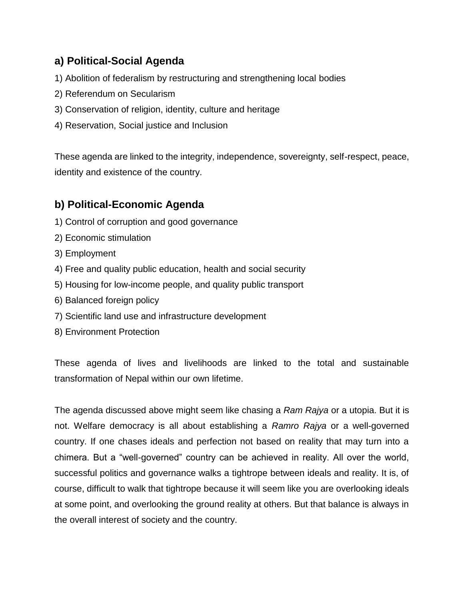## **a) Political-Social Agenda**

- 1) Abolition of federalism by restructuring and strengthening local bodies
- 2) Referendum on Secularism
- 3) Conservation of religion, identity, culture and heritage
- 4) Reservation, Social justice and Inclusion

These agenda are linked to the integrity, independence, sovereignty, self-respect, peace, identity and existence of the country.

## **b) Political-Economic Agenda**

- 1) Control of corruption and good governance
- 2) Economic stimulation
- 3) Employment
- 4) Free and quality public education, health and social security
- 5) Housing for low-income people, and quality public transport
- 6) Balanced foreign policy
- 7) Scientific land use and infrastructure development
- 8) Environment Protection

These agenda of lives and livelihoods are linked to the total and sustainable transformation of Nepal within our own lifetime.

The agenda discussed above might seem like chasing a *Ram Rajya* or a utopia. But it is not. Welfare democracy is all about establishing a *Ramro Rajya* or a well-governed country. If one chases ideals and perfection not based on reality that may turn into a chimera. But a "well-governed" country can be achieved in reality. All over the world, successful politics and governance walks a tightrope between ideals and reality. It is, of course, difficult to walk that tightrope because it will seem like you are overlooking ideals at some point, and overlooking the ground reality at others. But that balance is always in the overall interest of society and the country.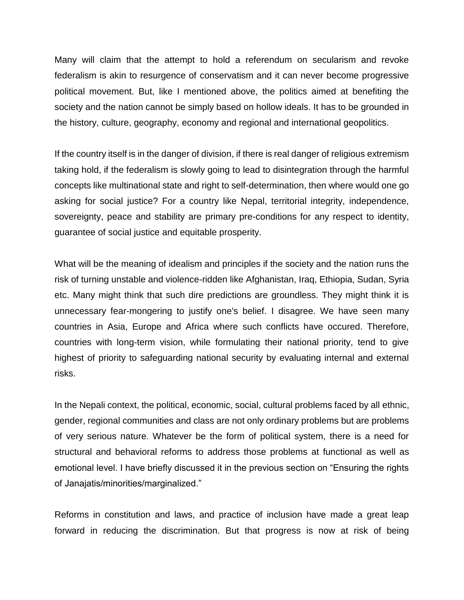Many will claim that the attempt to hold a referendum on secularism and revoke federalism is akin to resurgence of conservatism and it can never become progressive political movement. But, like I mentioned above, the politics aimed at benefiting the society and the nation cannot be simply based on hollow ideals. It has to be grounded in the history, culture, geography, economy and regional and international geopolitics.

If the country itself is in the danger of division, if there is real danger of religious extremism taking hold, if the federalism is slowly going to lead to disintegration through the harmful concepts like multinational state and right to self-determination, then where would one go asking for social justice? For a country like Nepal, territorial integrity, independence, sovereignty, peace and stability are primary pre-conditions for any respect to identity, guarantee of social justice and equitable prosperity.

What will be the meaning of idealism and principles if the society and the nation runs the risk of turning unstable and violence-ridden like Afghanistan, Iraq, Ethiopia, Sudan, Syria etc. Many might think that such dire predictions are groundless. They might think it is unnecessary fear-mongering to justify one's belief. I disagree. We have seen many countries in Asia, Europe and Africa where such conflicts have occured. Therefore, countries with long-term vision, while formulating their national priority, tend to give highest of priority to safeguarding national security by evaluating internal and external risks.

In the Nepali context, the political, economic, social, cultural problems faced by all ethnic, gender, regional communities and class are not only ordinary problems but are problems of very serious nature. Whatever be the form of political system, there is a need for structural and behavioral reforms to address those problems at functional as well as emotional level. I have briefly discussed it in the previous section on "Ensuring the rights of Janajatis/minorities/marginalized."

Reforms in constitution and laws, and practice of inclusion have made a great leap forward in reducing the discrimination. But that progress is now at risk of being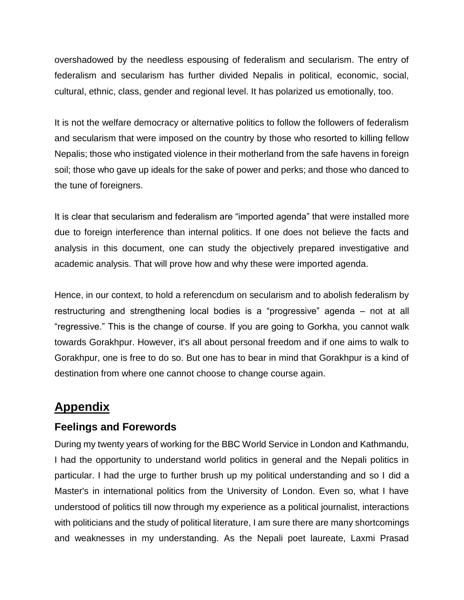overshadowed by the needless espousing of federalism and secularism. The entry of federalism and secularism has further divided Nepalis in political, economic, social, cultural, ethnic, class, gender and regional level. It has polarized us emotionally, too.

It is not the welfare democracy or alternative politics to follow the followers of federalism and secularism that were imposed on the country by those who resorted to killing fellow Nepalis; those who instigated violence in their motherland from the safe havens in foreign soil; those who gave up ideals for the sake of power and perks; and those who danced to the tune of foreigners.

It is clear that secularism and federalism are "imported agenda" that were installed more due to foreign interference than internal politics. If one does not believe the facts and analysis in this document, one can study the objectively prepared investigative and academic analysis. That will prove how and why these were imported agenda.

Hence, in our context, to hold a referencdum on secularism and to abolish federalism by restructuring and strengthening local bodies is a "progressive" agenda – not at all "regressive." This is the change of course. If you are going to Gorkha, you cannot walk towards Gorakhpur. However, it's all about personal freedom and if one aims to walk to Gorakhpur, one is free to do so. But one has to bear in mind that Gorakhpur is a kind of destination from where one cannot choose to change course again.

## **Appendix**

### **Feelings and Forewords**

During my twenty years of working for the BBC World Service in London and Kathmandu, I had the opportunity to understand world politics in general and the Nepali politics in particular. I had the urge to further brush up my political understanding and so I did a Master's in international politics from the University of London. Even so, what I have understood of politics till now through my experience as a political journalist, interactions with politicians and the study of political literature, I am sure there are many shortcomings and weaknesses in my understanding. As the Nepali poet laureate, Laxmi Prasad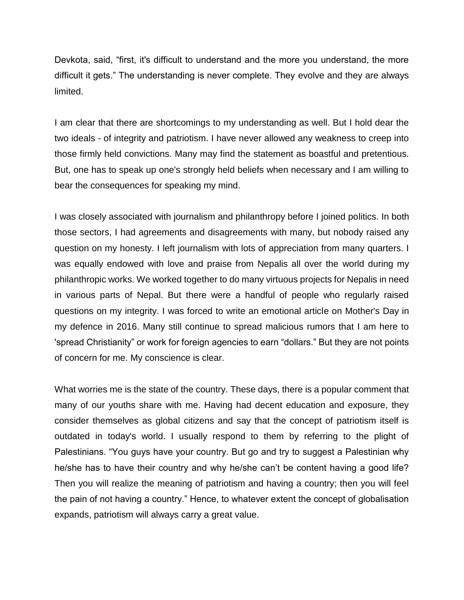Devkota, said, "first, it's difficult to understand and the more you understand, the more difficult it gets." The understanding is never complete. They evolve and they are always limited.

I am clear that there are shortcomings to my understanding as well. But I hold dear the two ideals - of integrity and patriotism. I have never allowed any weakness to creep into those firmly held convictions. Many may find the statement as boastful and pretentious. But, one has to speak up one's strongly held beliefs when necessary and I am willing to bear the consequences for speaking my mind.

I was closely associated with journalism and philanthropy before I joined politics. In both those sectors, I had agreements and disagreements with many, but nobody raised any question on my honesty. I left journalism with lots of appreciation from many quarters. I was equally endowed with love and praise from Nepalis all over the world during my philanthropic works. We worked together to do many virtuous projects for Nepalis in need in various parts of Nepal. But there were a handful of people who regularly raised questions on my integrity. I was forced to write an emotional article on Mother's Day in my defence in 2016. Many still continue to spread malicious rumors that I am here to 'spread Christianity" or work for foreign agencies to earn "dollars." But they are not points of concern for me. My conscience is clear.

What worries me is the state of the country. These days, there is a popular comment that many of our youths share with me. Having had decent education and exposure, they consider themselves as global citizens and say that the concept of patriotism itself is outdated in today's world. I usually respond to them by referring to the plight of Palestinians. "You guys have your country. But go and try to suggest a Palestinian why he/she has to have their country and why he/she can't be content having a good life? Then you will realize the meaning of patriotism and having a country; then you will feel the pain of not having a country." Hence, to whatever extent the concept of globalisation expands, patriotism will always carry a great value.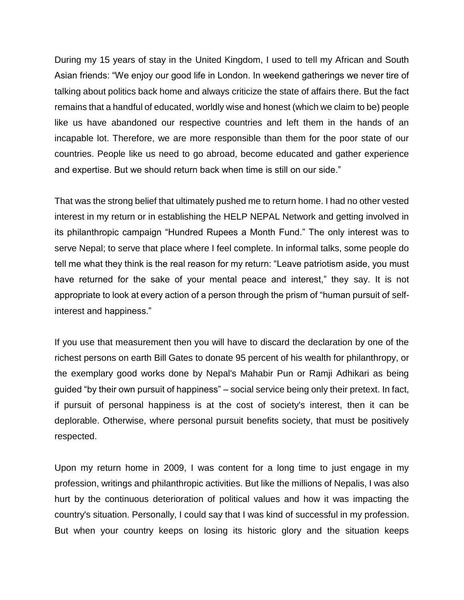During my 15 years of stay in the United Kingdom, I used to tell my African and South Asian friends: "We enjoy our good life in London. In weekend gatherings we never tire of talking about politics back home and always criticize the state of affairs there. But the fact remains that a handful of educated, worldly wise and honest (which we claim to be) people like us have abandoned our respective countries and left them in the hands of an incapable lot. Therefore, we are more responsible than them for the poor state of our countries. People like us need to go abroad, become educated and gather experience and expertise. But we should return back when time is still on our side."

That was the strong belief that ultimately pushed me to return home. I had no other vested interest in my return or in establishing the HELP NEPAL Network and getting involved in its philanthropic campaign "Hundred Rupees a Month Fund." The only interest was to serve Nepal; to serve that place where I feel complete. In informal talks, some people do tell me what they think is the real reason for my return: "Leave patriotism aside, you must have returned for the sake of your mental peace and interest," they say. It is not appropriate to look at every action of a person through the prism of "human pursuit of selfinterest and happiness."

If you use that measurement then you will have to discard the declaration by one of the richest persons on earth Bill Gates to donate 95 percent of his wealth for philanthropy, or the exemplary good works done by Nepal's Mahabir Pun or Ramji Adhikari as being guided "by their own pursuit of happiness" – social service being only their pretext. In fact, if pursuit of personal happiness is at the cost of society's interest, then it can be deplorable. Otherwise, where personal pursuit benefits society, that must be positively respected.

Upon my return home in 2009, I was content for a long time to just engage in my profession, writings and philanthropic activities. But like the millions of Nepalis, I was also hurt by the continuous deterioration of political values and how it was impacting the country's situation. Personally, I could say that I was kind of successful in my profession. But when your country keeps on losing its historic glory and the situation keeps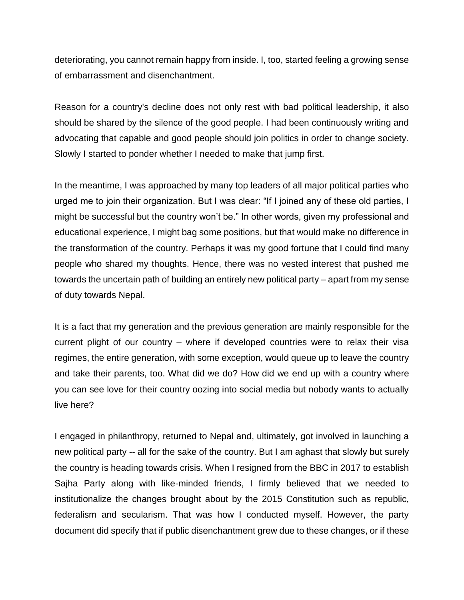deteriorating, you cannot remain happy from inside. I, too, started feeling a growing sense of embarrassment and disenchantment.

Reason for a country's decline does not only rest with bad political leadership, it also should be shared by the silence of the good people. I had been continuously writing and advocating that capable and good people should join politics in order to change society. Slowly I started to ponder whether I needed to make that jump first.

In the meantime, I was approached by many top leaders of all major political parties who urged me to join their organization. But I was clear: "If I joined any of these old parties, I might be successful but the country won't be." In other words, given my professional and educational experience, I might bag some positions, but that would make no difference in the transformation of the country. Perhaps it was my good fortune that I could find many people who shared my thoughts. Hence, there was no vested interest that pushed me towards the uncertain path of building an entirely new political party – apart from my sense of duty towards Nepal.

It is a fact that my generation and the previous generation are mainly responsible for the current plight of our country – where if developed countries were to relax their visa regimes, the entire generation, with some exception, would queue up to leave the country and take their parents, too. What did we do? How did we end up with a country where you can see love for their country oozing into social media but nobody wants to actually live here?

I engaged in philanthropy, returned to Nepal and, ultimately, got involved in launching a new political party -- all for the sake of the country. But I am aghast that slowly but surely the country is heading towards crisis. When I resigned from the BBC in 2017 to establish Sajha Party along with like-minded friends, I firmly believed that we needed to institutionalize the changes brought about by the 2015 Constitution such as republic, federalism and secularism. That was how I conducted myself. However, the party document did specify that if public disenchantment grew due to these changes, or if these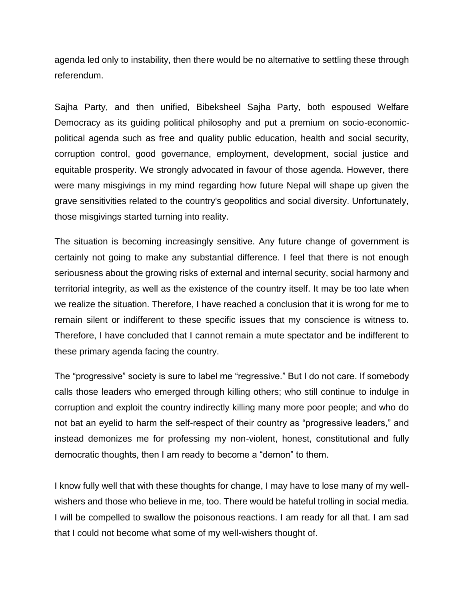agenda led only to instability, then there would be no alternative to settling these through referendum.

Sajha Party, and then unified, Bibeksheel Sajha Party, both espoused Welfare Democracy as its guiding political philosophy and put a premium on socio-economicpolitical agenda such as free and quality public education, health and social security, corruption control, good governance, employment, development, social justice and equitable prosperity. We strongly advocated in favour of those agenda. However, there were many misgivings in my mind regarding how future Nepal will shape up given the grave sensitivities related to the country's geopolitics and social diversity. Unfortunately, those misgivings started turning into reality.

The situation is becoming increasingly sensitive. Any future change of government is certainly not going to make any substantial difference. I feel that there is not enough seriousness about the growing risks of external and internal security, social harmony and territorial integrity, as well as the existence of the country itself. It may be too late when we realize the situation. Therefore, I have reached a conclusion that it is wrong for me to remain silent or indifferent to these specific issues that my conscience is witness to. Therefore, I have concluded that I cannot remain a mute spectator and be indifferent to these primary agenda facing the country.

The "progressive" society is sure to label me "regressive." But I do not care. If somebody calls those leaders who emerged through killing others; who still continue to indulge in corruption and exploit the country indirectly killing many more poor people; and who do not bat an eyelid to harm the self-respect of their country as "progressive leaders," and instead demonizes me for professing my non-violent, honest, constitutional and fully democratic thoughts, then I am ready to become a "demon" to them.

I know fully well that with these thoughts for change, I may have to lose many of my wellwishers and those who believe in me, too. There would be hateful trolling in social media. I will be compelled to swallow the poisonous reactions. I am ready for all that. I am sad that I could not become what some of my well-wishers thought of.